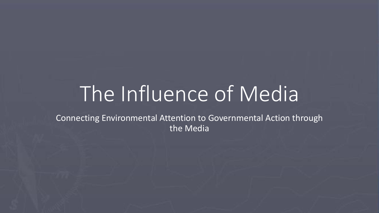# The Influence of Media

Connecting Environmental Attention to Governmental Action through the Media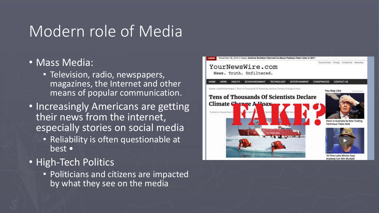### Modern role of Media

- Mass Media:
	- Television, radio, newspapers, magazines, the Internet and other means of popular communication.
- Increasingly Americans are getting their news from the internet, especially stories on social media
	- Reliability is often questionable at best •
- High-Tech Politics
	- Politicians and citizens are impacted by what they see on the media

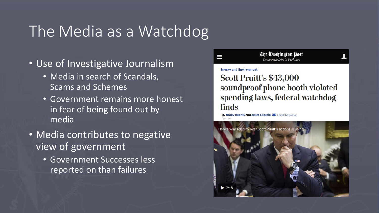### The Media as a Watchdog

- Use of Investigative Journalism
	- Media in search of Scandals, Scams and Schemes
	- Government remains more honest in fear of being found out by media
- Media contributes to negative view of government
	- Government Successes less reported on than failures

The Washington Wost emocracy Dies in Darkness

### **Energy and Environment**

Ш

Scott Pruitt's \$43,000 soundproof phone booth violated spending laws, federal watchdog finds

By Brady Dennis and Juliet Eilperin M Email the author

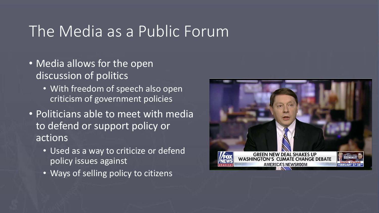### The Media as a Public Forum

- Media allows for the open discussion of politics
	- With freedom of speech also open criticism of government policies
- Politicians able to meet with media to defend or support policy or actions
	- Used as a way to criticize or defend policy issues against
	- Ways of selling policy to citizens

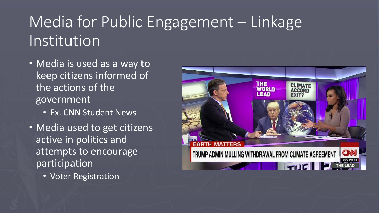## Media for Public Engagement – Linkage Institution

- Media is used as a way to keep citizens informed of the actions of the government
	- Ex. CNN Student News
- Media used to get citizens active in politics and attempts to encourage participation
	- Voter Registration